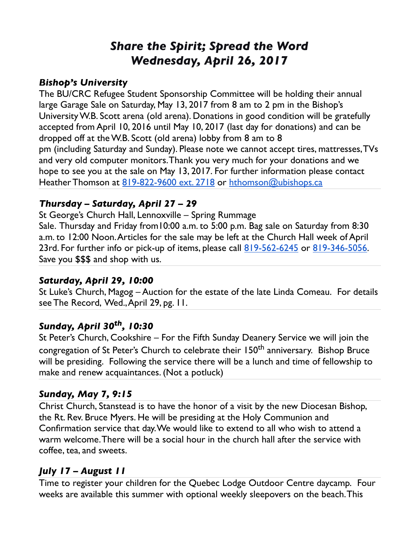# *Share the Spirit; Spread the Word Wednesday, April 26, 2017*

#### *Bishop's University*

The BU/CRC Refugee Student Sponsorship Committee will be holding their annual large Garage Sale on Saturday, May 13, 2017 from 8 am to 2 pm in the Bishop's University W.B. Scott arena (old arena). Donations in good condition will be gratefully accepted from April 10, 2016 until May 10, 2017 (last day for donations) and can be dropped off at the W.B. Scott (old arena) lobby from 8 am to 8 pm (including Saturday and Sunday). Please note we cannot accept tires, mattresses, TVs and very old computer monitors. Thank you very much for your donations and we hope to see you at the sale on May 13, 2017. For further information please contact Heather Thomson at [819-822-9600 ext. 2718](tel:(819)%20822-9600) or [hthomson@ubishops.ca](mailto:hthomson@ubishops.ca)

### *Thursday – Saturday, April 27 – 29*

St George's Church Hall, Lennoxville – Spring Rummage

Sale. Thursday and Friday from10:00 a.m. to 5:00 p.m. Bag sale on Saturday from 8:30 a.m. to 12:00 Noon. Articles for the sale may be left at the Church Hall week of April 23rd. For further info or pick-up of items, please call [819-562-6245](tel:(819)%20562-6245) or [819-346-5056.](tel:(819)%20346-5056) Save you \$\$\$ and shop with us.

### *Saturday, April 29, 10:00*

St Luke's Church, Magog – Auction for the estate of the late Linda Comeau. For details see The Record, Wed., April 29, pg. 11.

## *Sunday, April 30th, 10:30*

St Peter's Church, Cookshire – For the Fifth Sunday Deanery Service we will join the congregation of St Peter's Church to celebrate their 150<sup>th</sup> anniversary. Bishop Bruce will be presiding. Following the service there will be a lunch and time of fellowship to make and renew acquaintances. (Not a potluck)

### *Sunday, May 7, 9:15*

Christ Church, Stanstead is to have the honor of a visit by the new Diocesan Bishop, the Rt. Rev. Bruce Myers. He will be presiding at the Holy Communion and Confirmation service that day. We would like to extend to all who wish to attend a warm welcome. There will be a social hour in the church hall after the service with coffee, tea, and sweets.

### *July 17 – August 11*

Time to register your children for the Quebec Lodge Outdoor Centre daycamp. Four weeks are available this summer with optional weekly sleepovers on the beach. This